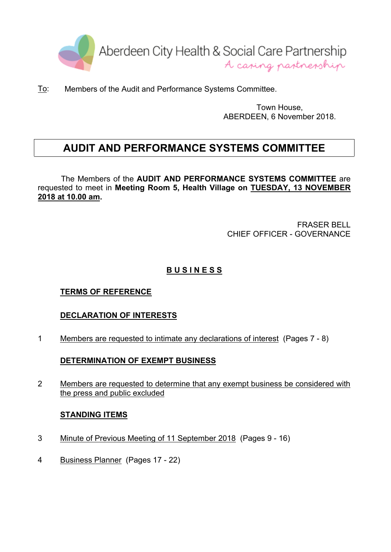

To: Members of the Audit and Performance Systems Committee.

Town House, ABERDEEN, 6 November 2018.

# **AUDIT AND PERFORMANCE SYSTEMS COMMITTEE**

The Members of the **AUDIT AND PERFORMANCE SYSTEMS COMMITTEE** are requested to meet in **Meeting Room 5, Health Village on TUESDAY, 13 NOVEMBER 2018 at 10.00 am.**

> FRASER BELL CHIEF OFFICER - GOVERNANCE

## **B U S I N E S S**

## **TERMS OF REFERENCE**

## **DECLARATION OF INTERESTS**

1 Members are requested to intimate any declarations of interest (Pages 7 - 8)

## **DETERMINATION OF EXEMPT BUSINESS**

2 Members are requested to determine that any exempt business be considered with the press and public excluded

#### **STANDING ITEMS**

- 3 Minute of Previous Meeting of 11 September 2018 (Pages 9 16)
- 4 Business Planner (Pages 17 22)